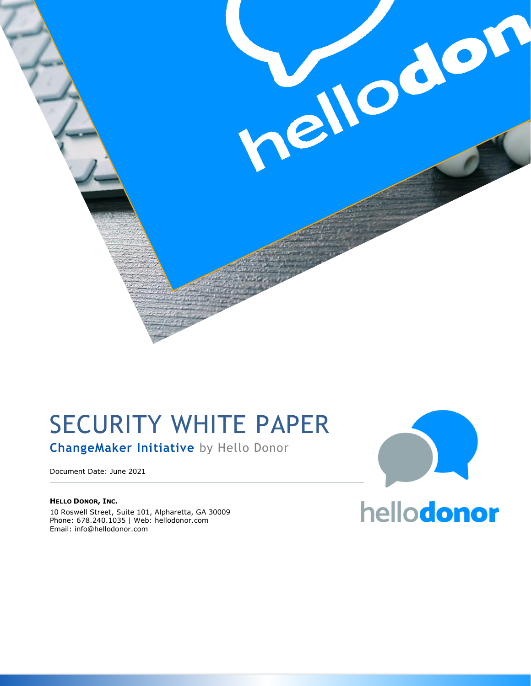

# SECURITY WHITE PAPER

**ChangeMaker Initiative** by Hello Donor

Document Date: June 2021

**HELLO DONOR, INC.** 10 Roswell Street, Suite 101, Alpharetta, GA 30009 Phone: 678.240.1035 | Web: hellodonor.com Email: info@hellodonor.com

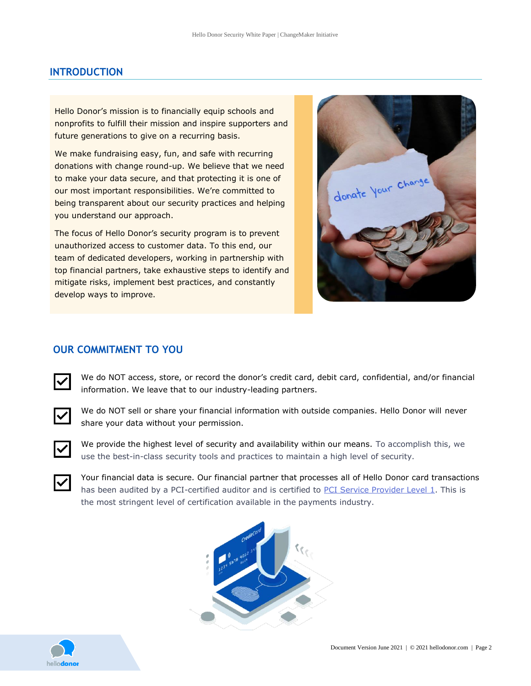# **INTRODUCTION**

Hello Donor's mission is to financially equip schools and nonprofits to fulfill their mission and inspire supporters and future generations to give on a recurring basis.

We make fundraising easy, fun, and safe with recurring donations with change round-up. We believe that we need to make your data secure, and that protecting it is one of our most important responsibilities. We're committed to being transparent about our security practices and helping you understand our approach.

The focus of Hello Donor's security program is to prevent unauthorized access to customer data. To this end, our team of dedicated developers, working in partnership with top financial partners, take exhaustive steps to identify and mitigate risks, implement best practices, and constantly develop ways to improve.

donate Your change

# **OUR COMMITMENT TO YOU**

We do NOT access, store, or record the donor's credit card, debit card, confidential, and/or financial information. We leave that to our industry-leading partners.



We do NOT sell or share your financial information with outside companies. Hello Donor will never share your data without your permission.



We provide the highest level of security and availability within our means. To accomplish this, we use the best-in-class security tools and practices to maintain a high level of security.



Your financial data is secure. Our financial partner that processes all of Hello Donor card transactions has been audited by a PCI-certified auditor and is certified to PCI Service [Provider](http://www.visa.com/splisting/searchGrsp.do?companyNameCriteria=stripe) Level 1. This is the most stringent level of certification available in the payments industry.



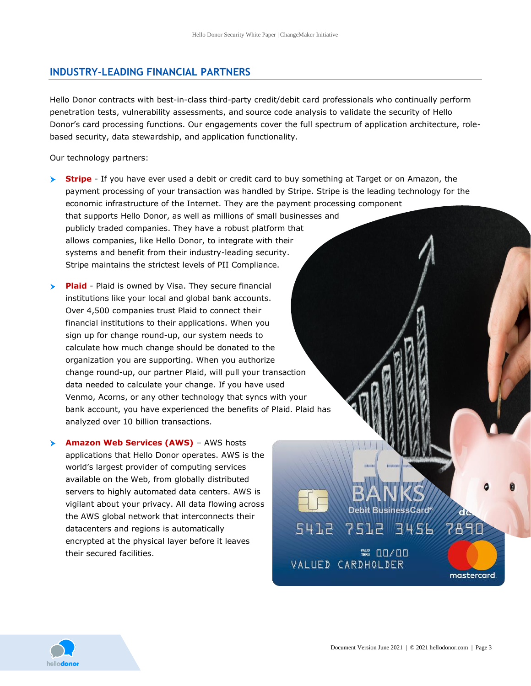# **INDUSTRY-LEADING FINANCIAL PARTNERS**

Hello Donor contracts with best-in-class third-party credit/debit card professionals who continually perform penetration tests, vulnerability assessments, and source code analysis to validate the security of Hello Donor's card processing functions. Our engagements cover the full spectrum of application architecture, rolebased security, data stewardship, and application functionality.

Our technology partners:

- **► Stripe** If you have ever used a debit or credit card to buy something at Target or on Amazon, the payment processing of your transaction was handled by Stripe. Stripe is the leading technology for the economic infrastructure of the Internet. They are the payment processing component that supports Hello Donor, as well as millions of small businesses and publicly traded companies. They have a robust platform that allows companies, like Hello Donor, to integrate with their systems and benefit from their industry-leading security. Stripe maintains the strictest levels of PII Compliance.
- **Plaid** Plaid is owned by Visa. They secure financial institutions like your local and global bank accounts. Over 4,500 companies trust Plaid to connect their financial institutions to their applications. When you sign up for change round-up, our system needs to calculate how much change should be donated to the organization you are supporting. When you authorize change round-up, our partner Plaid, will pull your transaction data needed to calculate your change. If you have used Venmo, Acorns, or any other technology that syncs with your bank account, you have experienced the benefits of Plaid. Plaid has analyzed over 10 billion transactions.

**Amazon Web Services (AWS)** – AWS hosts applications that Hello Donor operates. AWS is the world's largest provider of computing services available on the Web, from globally distributed servers to highly automated data centers. AWS is vigilant about your privacy. All data flowing across the AWS global network that interconnects their datacenters and regions is automatically encrypted at the physical layer before it leaves their secured facilities.



7890

mastercard.

**Debit BusinessCard** 

₩ 00/00

5412 7512 3456

VALUED CARDHOLDER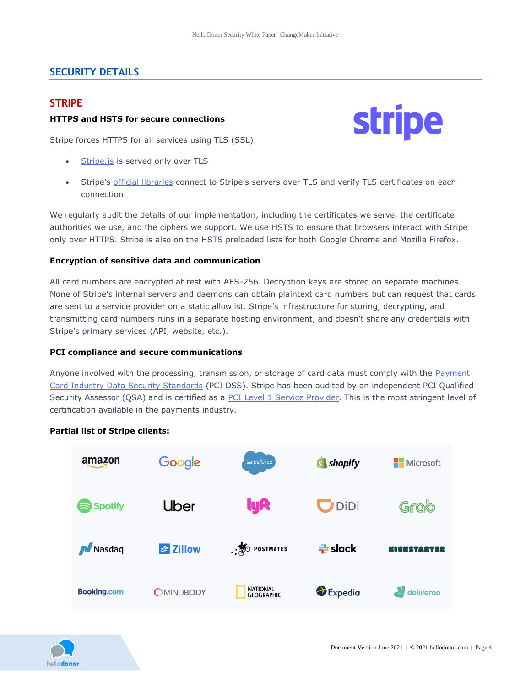# **SECURITY DETAILS**

## **STRIPE**

## **HTTPS and HSTS for secure connections**



- [Stripe.js](https://stripe.com/docs/stripe-js) is served only over TLS
- Stripe's official [libraries](https://stripe.com/docs/libraries) connect to Stripe's servers over TLS and verify TLS certificates on each connection

We regularly audit the details of our implementation, including the certificates we serve, the certificate authorities we use, and the ciphers we support. We use HSTS to ensure that browsers interact with Stripe only over HTTPS. Stripe is also on the HSTS preloaded lists for both Google Chrome and Mozilla Firefox.

### **Encryption of sensitive data and communication**

All card numbers are encrypted at rest with AES-256. Decryption keys are stored on separate machines. None of Stripe's internal servers and daemons can obtain plaintext card numbers but can request that cards are sent to a service provider on a static allowlist. Stripe's infrastructure for storing, decrypting, and transmitting card numbers runs in a separate hosting environment, and doesn't share any credentials with Stripe's primary services (API, website, etc.).

#### **PCI compliance and secure communications**

Anyone involved with the processing, transmission, or storage of card data must comply with the [Payment](https://www.pcisecuritystandards.org/pci_security/) Card Industry Data Security [Standards](https://www.pcisecuritystandards.org/pci_security/) (PCI DSS). Stripe has been audited by an independent PCI Qualified Security Assessor (QSA) and is certified as a PCI Level 1 Service [Provider.](https://www.visa.com/splisting/searchGrsp.do?companyNameCriteria=stripe,%20inc) This is the most stringent level of certification available in the payments industry.

## **Partial list of Stripe clients:**





**stripe**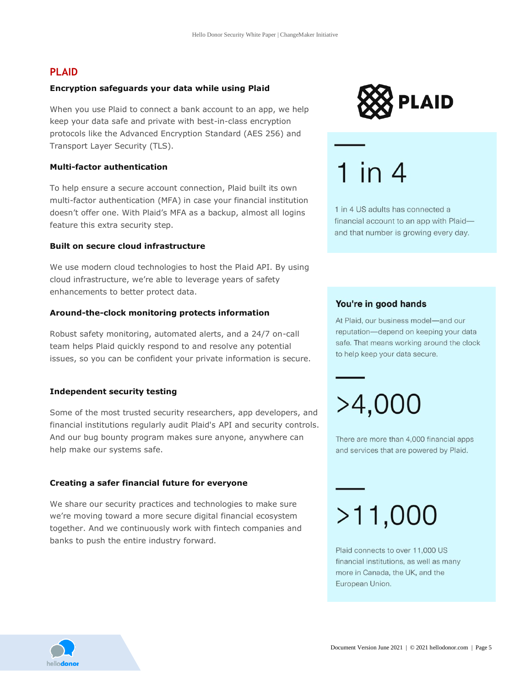# **PLAID**

#### **Encryption safeguards your data while using Plaid**

When you use Plaid to connect a bank account to an app, we help keep your data safe and private with best-in-class encryption protocols like the Advanced Encryption Standard (AES 256) and Transport Layer Security (TLS).

#### **Multi-factor authentication**

To help ensure a secure account connection, Plaid built its own multi-factor authentication (MFA) in case your financial institution doesn't offer one. With Plaid's MFA as a backup, almost all logins feature this extra security step.

#### **Built on secure cloud infrastructure**

We use modern cloud technologies to host the Plaid API. By using cloud infrastructure, we're able to leverage years of safety enhancements to better protect data.

#### **Around-the-clock monitoring protects information**

Robust safety monitoring, automated alerts, and a 24/7 on-call team helps Plaid quickly respond to and resolve any potential issues, so you can be confident your private information is secure.

#### **Independent security testing**

Some of the most trusted security researchers, app developers, and financial institutions regularly audit Plaid's API and security controls. And our bug bounty program makes sure anyone, anywhere can help make our systems safe.

#### **Creating a safer financial future for everyone**

We share our security practices and technologies to make sure we're moving toward a more secure digital financial ecosystem together. And we continuously work with fintech companies and banks to push the entire industry forward.



 $1$  in  $4$ 

1 in 4 US adults has connected a financial account to an app with Plaidand that number is growing every day.

#### You're in good hands

At Plaid, our business model-and our reputation-depend on keeping your data safe. That means working around the clock to help keep your data secure.

>4,000

There are more than 4,000 financial apps and services that are powered by Plaid.

# $>11,000$

Plaid connects to over 11,000 US financial institutions, as well as many more in Canada, the UK, and the European Union.